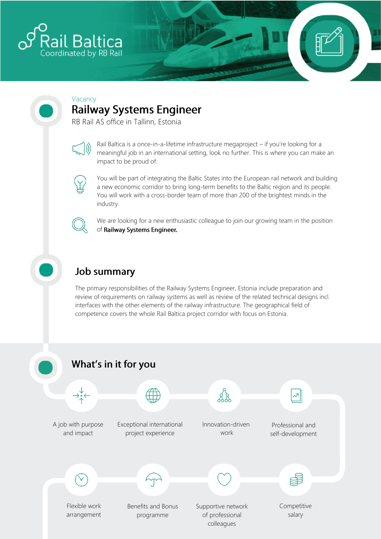

# Vacancy

## **Railway Systems Engineer**

RB Rail AS office in Tallinn, Estonia



Rail Baltica is a once-in-a-lifetime infrastructure megaproject – if you're looking for a meaningful job in an international setting, look no further. This is where you can make an impact to be proud of.



You will be part of integrating the Baltic States into the European rail network and building a new economic corridor to bring long-term benefits to the Baltic region and its people. You will work with a cross-border team of more than 200 of the brightest minds in the industry.



We are looking for a new enthusiastic colleague to join our growing team in the position of Railway Systems Engineer.

### **Job summary**

The primary responsibilities of the Railway Systems Engineer, Estonia include preparation and review of requirements on railway systems as well as review of the related technical designs incl. interfaces with the other elements of the railway infrastructure. The geographical field of competence covers the whole Rail Baltica project corridor with focus on Estonia.